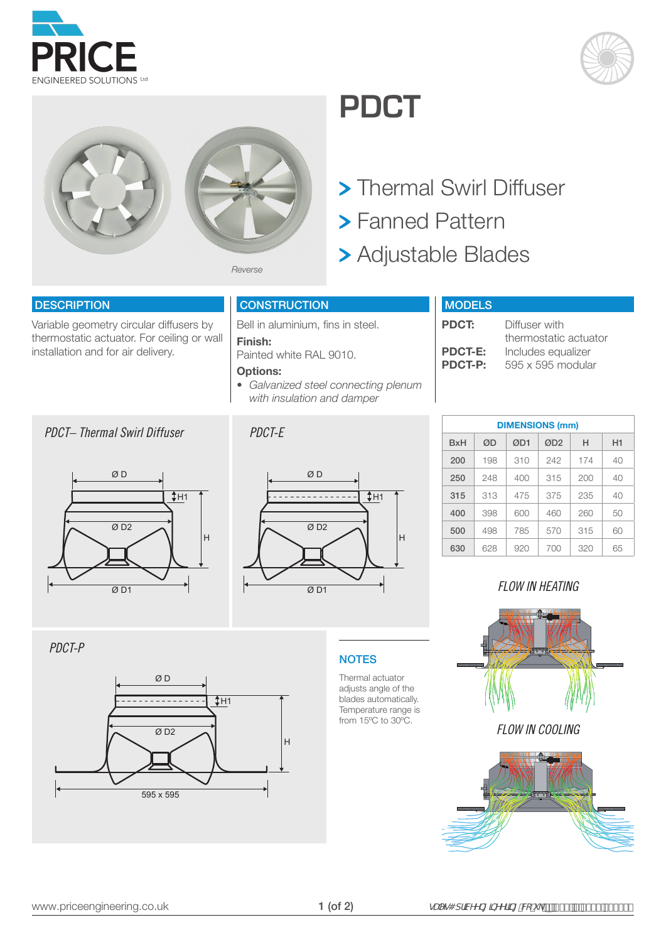





## **PDCT**



- Fanned Pattern
- Adjustable Blades

#### **DESCRIPTION**

Variable geometry circular diffusers by thermostatic actuator. For ceiling or wall installation and for air delivery.

#### *PDCT– Thermal Swirl Diffuser PDCT-E*



#### **CONSTRUCTION**

Bell in aluminium, fins in steel.

#### **Finish:**

Painted white RAL 9010.

#### **Options:**

*• Galvanized steel connecting plenum with insulation and damper*



#### **MODELS**

| <b>PDCT:</b>   | Diffuser with         |
|----------------|-----------------------|
|                | thermostatic actuator |
| <b>PDCT-E:</b> | Includes equalizer    |
| <b>PDCT-P:</b> | 595 x 595 modular     |
|                |                       |

| <b>DIMENSIONS (mm)</b> |     |     |                 |     |    |  |  |  |  |  |
|------------------------|-----|-----|-----------------|-----|----|--|--|--|--|--|
| <b>B</b> xH            | ØD  | ØD1 | ØD <sub>2</sub> | н   | H1 |  |  |  |  |  |
| 200                    | 198 | 310 | 242             | 174 | 40 |  |  |  |  |  |
| 250                    | 248 | 400 | 315             | 200 | 40 |  |  |  |  |  |
| 315                    | 313 | 475 | 375             | 235 | 40 |  |  |  |  |  |
| 400                    | 398 | 600 | 460             | 260 | 50 |  |  |  |  |  |
| 500                    | 498 | 785 | 570             | 315 | 60 |  |  |  |  |  |
| 630                    | 628 | 920 | 700             | 320 | 65 |  |  |  |  |  |

### *FLOW IN HEATING*

*PDCT-P*



### **NOTES**

Thermal actuator adjusts angle of the blades automatically. Temperature range is from 15ºC to 30ºC.

*FLOW IN COOLING*